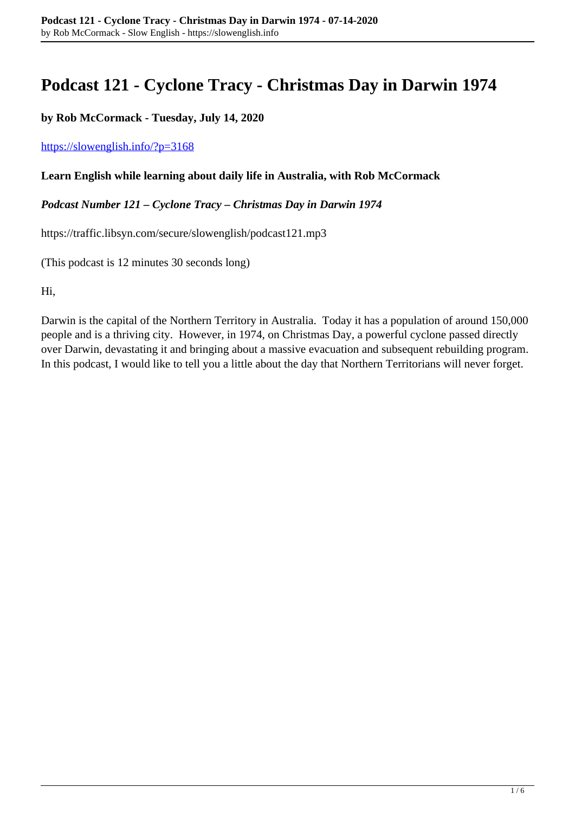# **Podcast 121 - Cyclone Tracy - Christmas Day in Darwin 1974**

**by Rob McCormack - Tuesday, July 14, 2020**

#### <https://slowenglish.info/?p=3168>

#### **Learn English while learning about daily life in Australia, with Rob McCormack**

#### *Podcast Number 121 – Cyclone Tracy – Christmas Day in Darwin 1974*

https://traffic.libsyn.com/secure/slowenglish/podcast121.mp3

(This podcast is 12 minutes 30 seconds long)

Hi,

Darwin is the capital of the Northern Territory in Australia. Today it has a population of around 150,000 people and is a thriving city. However, in 1974, on Christmas Day, a powerful cyclone passed directly over Darwin, devastating it and bringing about a massive evacuation and subsequent rebuilding program. In this podcast, I would like to tell you a little about the day that Northern Territorians will never forget.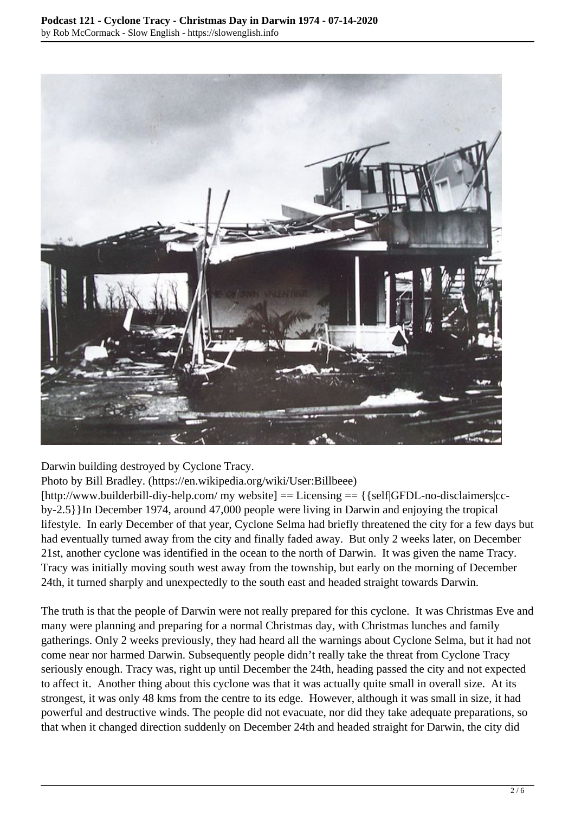

Darwin building destroyed by Cyclone Tracy.

Photo by Bill Bradley. (https://en.wikipedia.org/wiki/User:Billbeee)

[http://www.builderbill-diy-help.com/ my website] == Licensing == {{self|GFDL-no-disclaimers|ccby-2.5}}In December 1974, around 47,000 people were living in Darwin and enjoying the tropical lifestyle. In early December of that year, Cyclone Selma had briefly threatened the city for a few days but had eventually turned away from the city and finally faded away. But only 2 weeks later, on December 21st, another cyclone was identified in the ocean to the north of Darwin. It was given the name Tracy. Tracy was initially moving south west away from the township, but early on the morning of December 24th, it turned sharply and unexpectedly to the south east and headed straight towards Darwin.

The truth is that the people of Darwin were not really prepared for this cyclone. It was Christmas Eve and many were planning and preparing for a normal Christmas day, with Christmas lunches and family gatherings. Only 2 weeks previously, they had heard all the warnings about Cyclone Selma, but it had not come near nor harmed Darwin. Subsequently people didn't really take the threat from Cyclone Tracy seriously enough. Tracy was, right up until December the 24th, heading passed the city and not expected to affect it. Another thing about this cyclone was that it was actually quite small in overall size. At its strongest, it was only 48 kms from the centre to its edge. However, although it was small in size, it had powerful and destructive winds. The people did not evacuate, nor did they take adequate preparations, so that when it changed direction suddenly on December 24th and headed straight for Darwin, the city did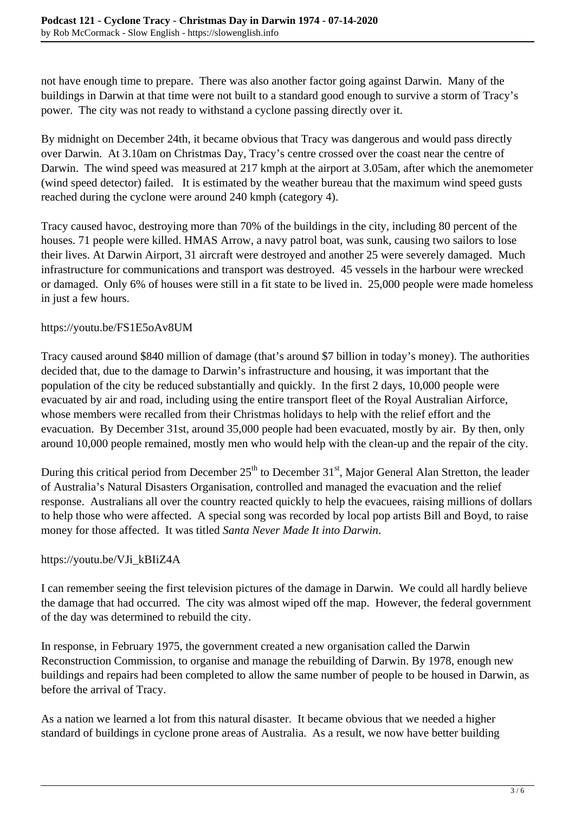not have enough time to prepare. There was also another factor going against Darwin. Many of the buildings in Darwin at that time were not built to a standard good enough to survive a storm of Tracy's power. The city was not ready to withstand a cyclone passing directly over it.

By midnight on December 24th, it became obvious that Tracy was dangerous and would pass directly over Darwin. At 3.10am on Christmas Day, Tracy's centre crossed over the coast near the centre of Darwin. The wind speed was measured at 217 kmph at the airport at 3.05am, after which the anemometer (wind speed detector) failed. It is estimated by the weather bureau that the maximum wind speed gusts reached during the cyclone were around 240 kmph (category 4).

Tracy caused havoc, destroying more than 70% of the buildings in the city, including 80 percent of the houses. 71 people were killed. HMAS Arrow, a navy patrol boat, was sunk, causing two sailors to lose their lives. At Darwin Airport, 31 aircraft were destroyed and another 25 were severely damaged. Much infrastructure for communications and transport was destroyed. 45 vessels in the harbour were wrecked or damaged. Only 6% of houses were still in a fit state to be lived in. 25,000 people were made homeless in just a few hours.

### https://youtu.be/FS1E5oAv8UM

Tracy caused around \$840 million of damage (that's around \$7 billion in today's money). The authorities decided that, due to the damage to Darwin's infrastructure and housing, it was important that the population of the city be reduced substantially and quickly. In the first 2 days, 10,000 people were evacuated by air and road, including using the entire transport fleet of the Royal Australian Airforce, whose members were recalled from their Christmas holidays to help with the relief effort and the evacuation. By December 31st, around 35,000 people had been evacuated, mostly by air. By then, only around 10,000 people remained, mostly men who would help with the clean-up and the repair of the city.

During this critical period from December  $25<sup>th</sup>$  to December  $31<sup>st</sup>$ , Major General Alan Stretton, the leader of Australia's Natural Disasters Organisation, controlled and managed the evacuation and the relief response. Australians all over the country reacted quickly to help the evacuees, raising millions of dollars to help those who were affected. A special song was recorded by local pop artists Bill and Boyd, to raise money for those affected. It was titled *Santa Never Made It into Darwin*.

## https://youtu.be/VJi\_kBIiZ4A

I can remember seeing the first television pictures of the damage in Darwin. We could all hardly believe the damage that had occurred. The city was almost wiped off the map. However, the federal government of the day was determined to rebuild the city.

In response, in February 1975, the government created a new organisation called the Darwin Reconstruction Commission, to organise and manage the rebuilding of Darwin. By 1978, enough new buildings and repairs had been completed to allow the same number of people to be housed in Darwin, as before the arrival of Tracy.

As a nation we learned a lot from this natural disaster. It became obvious that we needed a higher standard of buildings in cyclone prone areas of Australia. As a result, we now have better building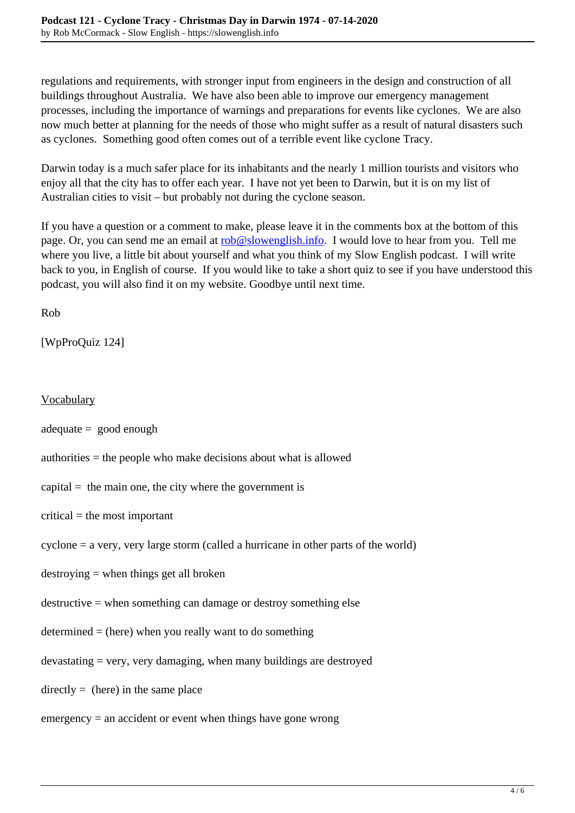regulations and requirements, with stronger input from engineers in the design and construction of all buildings throughout Australia. We have also been able to improve our emergency management processes, including the importance of warnings and preparations for events like cyclones. We are also now much better at planning for the needs of those who might suffer as a result of natural disasters such as cyclones. Something good often comes out of a terrible event like cyclone Tracy.

Darwin today is a much safer place for its inhabitants and the nearly 1 million tourists and visitors who enjoy all that the city has to offer each year. I have not yet been to Darwin, but it is on my list of Australian cities to visit – but probably not during the cyclone season.

If you have a question or a comment to make, please leave it in the comments box at the bottom of this page. Or, you can send me an email at [rob@slowenglish.info.](mailto:rob@slowenglish.info) I would love to hear from you. Tell me where you live, a little bit about yourself and what you think of my Slow English podcast. I will write back to you, in English of course. If you would like to take a short quiz to see if you have understood this podcast, you will also find it on my website. Goodbye until next time.

Rob

[WpProQuiz 124]

**Vocabulary** 

adequate = good enough

authorities = the people who make decisions about what is allowed

capital  $=$  the main one, the city where the government is

 $critical =$  the most important

cyclone = a very, very large storm (called a hurricane in other parts of the world)

destroying = when things get all broken

destructive = when something can damage or destroy something else

 $d$  determined = (here) when you really want to do something

 $devasting = very, very damaging, when many buildings are destroyed$ 

 $directly = (here)$  in the same place

 $emergency = an accident or event when things have gone wrong$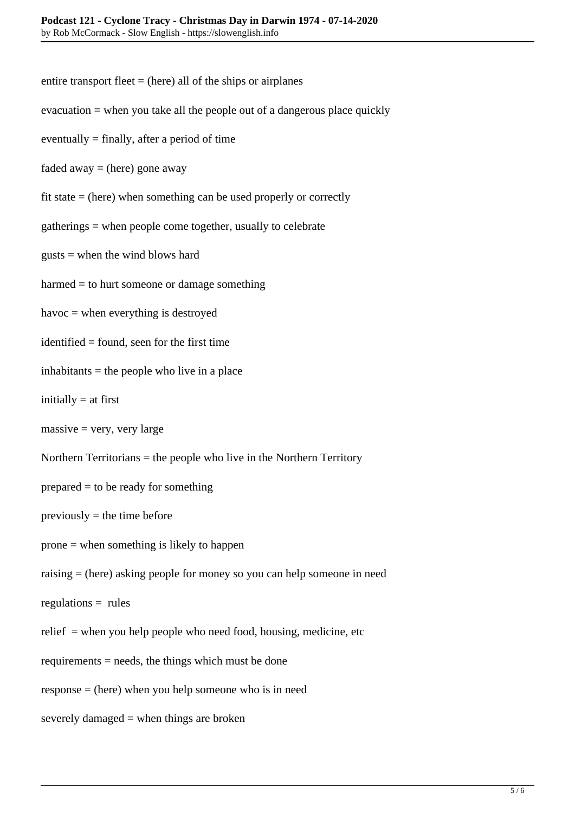- entire transport fleet  $=$  (here) all of the ships or airplanes
- evacuation = when you take all the people out of a dangerous place quickly
- eventually  $=$  finally, after a period of time
- faded away  $=$  (here) gone away
- fit state = (here) when something can be used properly or correctly
- gatherings = when people come together, usually to celebrate
- gusts = when the wind blows hard
- harmed = to hurt someone or damage something
- havoc = when everything is destroyed
- identified = found, seen for the first time
- $inhabitants = the people who live in a place$
- initially  $=$  at first
- $massive = very, very large$
- Northern Territorians = the people who live in the Northern Territory
- prepared = to be ready for something
- $previously =$  the time before
- prone = when something is likely to happen
- raising = (here) asking people for money so you can help someone in need
- $regularions = rules$
- relief  $=$  when you help people who need food, housing, medicine, etc
- requirements = needs, the things which must be done
- response = (here) when you help someone who is in need
- severely damaged = when things are broken